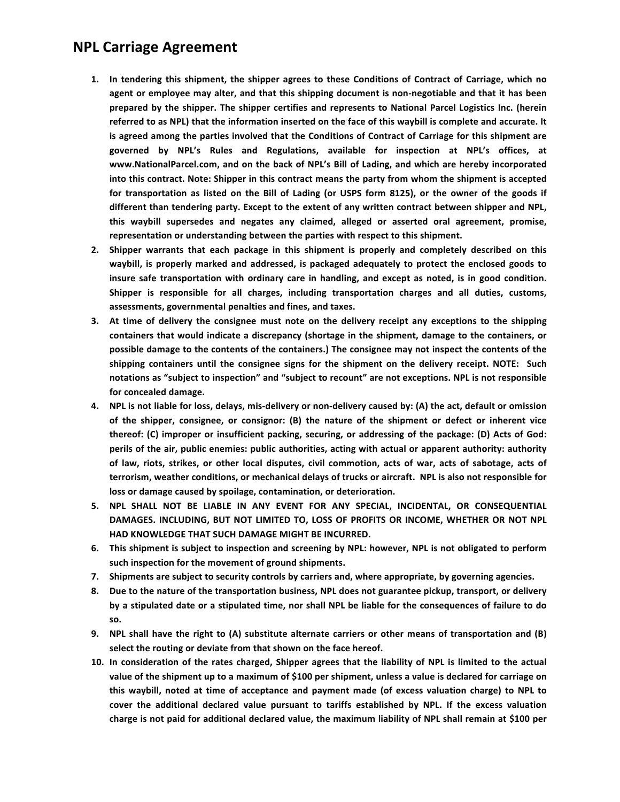## **NPL Carriage Agreement**

- 1. In tendering this shipment, the shipper agrees to these Conditions of Contract of Carriage, which no agent or employee may alter, and that this shipping document is non-negotiable and that it has been prepared by the shipper. The shipper certifies and represents to National Parcel Logistics Inc. (herein referred to as NPL) that the information inserted on the face of this waybill is complete and accurate. It is agreed among the parties involved that the Conditions of Contract of Carriage for this shipment are governed by NPL's Rules and Regulations, available for inspection at NPL's offices, at www.NationalParcel.com, and on the back of NPL's Bill of Lading, and which are hereby incorporated into this contract. Note: Shipper in this contract means the party from whom the shipment is accepted for transportation as listed on the Bill of Lading (or USPS form 8125), or the owner of the goods if different than tendering party. Except to the extent of any written contract between shipper and NPL, this waybill supersedes and negates any claimed, alleged or asserted oral agreement, promise, representation or understanding between the parties with respect to this shipment.
- 2. Shipper warrants that each package in this shipment is properly and completely described on this waybill, is properly marked and addressed, is packaged adequately to protect the enclosed goods to insure safe transportation with ordinary care in handling, and except as noted, is in good condition. Shipper is responsible for all charges, including transportation charges and all duties, customs, assessments, governmental penalties and fines, and taxes.
- 3. At time of delivery the consignee must note on the delivery receipt any exceptions to the shipping containers that would indicate a discrepancy (shortage in the shipment, damage to the containers, or possible damage to the contents of the containers.) The consignee may not inspect the contents of the shipping containers until the consignee signs for the shipment on the delivery receipt. NOTE: Such notations as "subject to inspection" and "subject to recount" are not exceptions. NPL is not responsible for concealed damage.
- 4. NPL is not liable for loss, delays, mis-delivery or non-delivery caused by: (A) the act, default or omission of the shipper, consignee, or consignor: (B) the nature of the shipment or defect or inherent vice thereof: (C) improper or insufficient packing, securing, or addressing of the package: (D) Acts of God: perils of the air, public enemies: public authorities, acting with actual or apparent authority: authority of law, riots, strikes, or other local disputes, civil commotion, acts of war, acts of sabotage, acts of terrorism, weather conditions, or mechanical delays of trucks or aircraft. NPL is also not responsible for loss or damage caused by spoilage, contamination, or deterioration.
- 5. NPL SHALL NOT BE LIABLE IN ANY EVENT FOR ANY SPECIAL, INCIDENTAL, OR CONSEQUENTIAL DAMAGES. INCLUDING, BUT NOT LIMITED TO, LOSS OF PROFITS OR INCOME, WHETHER OR NOT NPL HAD KNOWLEDGE THAT SUCH DAMAGE MIGHT BE INCURRED.
- 6. This shipment is subject to inspection and screening by NPL: however, NPL is not obligated to perform such inspection for the movement of ground shipments.
- 7. Shipments are subject to security controls by carriers and, where appropriate, by governing agencies.
- 8. Due to the nature of the transportation business, NPL does not guarantee pickup, transport, or delivery by a stipulated date or a stipulated time, nor shall NPL be liable for the consequences of failure to do SO.
- 9. NPL shall have the right to (A) substitute alternate carriers or other means of transportation and (B) select the routing or deviate from that shown on the face hereof.
- 10. In consideration of the rates charged, Shipper agrees that the liability of NPL is limited to the actual value of the shipment up to a maximum of \$100 per shipment, unless a value is declared for carriage on this waybill, noted at time of acceptance and payment made (of excess valuation charge) to NPL to cover the additional declared value pursuant to tariffs established by NPL. If the excess valuation charge is not paid for additional declared value, the maximum liability of NPL shall remain at \$100 per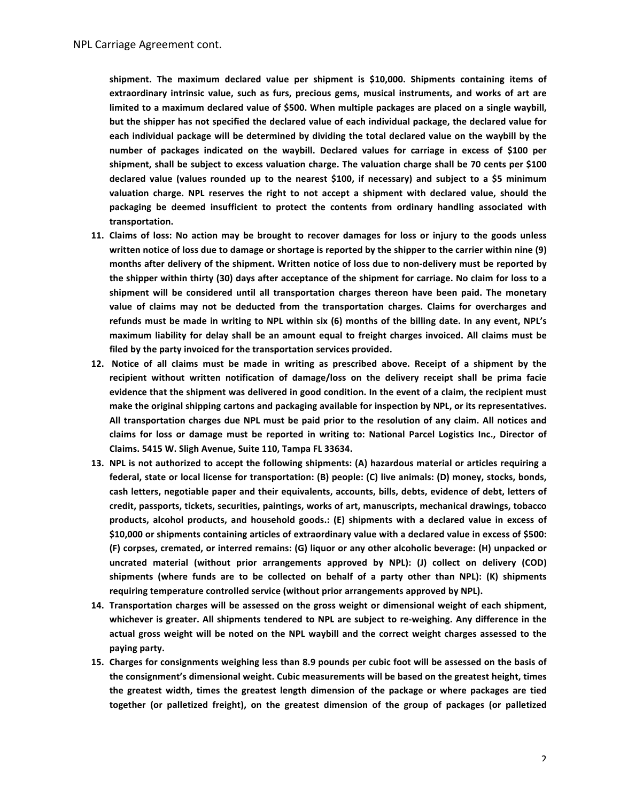shipment. The maximum declared value per shipment is \$10,000. Shipments containing items of extraordinary intrinsic value, such as furs, precious gems, musical instruments, and works of art are limited to a maximum declared value of \$500. When multiple packages are placed on a single waybill, but the shipper has not specified the declared value of each individual package, the declared value for each individual package will be determined by dividing the total declared value on the waybill by the number of packages indicated on the waybill. Declared values for carriage in excess of \$100 per shipment, shall be subject to excess valuation charge. The valuation charge shall be 70 cents per \$100 declared value (values rounded up to the nearest \$100, if necessary) and subject to a \$5 minimum valuation charge. NPL reserves the right to not accept a shipment with declared value, should the packaging be deemed insufficient to protect the contents from ordinary handling associated with transportation.

- 11. Claims of loss: No action may be brought to recover damages for loss or injury to the goods unless written notice of loss due to damage or shortage is reported by the shipper to the carrier within nine (9) months after delivery of the shipment. Written notice of loss due to non-delivery must be reported by the shipper within thirty (30) days after acceptance of the shipment for carriage. No claim for loss to a shipment will be considered until all transportation charges thereon have been paid. The monetary value of claims may not be deducted from the transportation charges. Claims for overcharges and refunds must be made in writing to NPL within six (6) months of the billing date. In any event, NPL's maximum liability for delay shall be an amount equal to freight charges invoiced. All claims must be filed by the party invoiced for the transportation services provided.
- 12. Notice of all claims must be made in writing as prescribed above. Receipt of a shipment by the recipient without written notification of damage/loss on the delivery receipt shall be prima facie evidence that the shipment was delivered in good condition. In the event of a claim, the recipient must make the original shipping cartons and packaging available for inspection by NPL, or its representatives. All transportation charges due NPL must be paid prior to the resolution of any claim. All notices and claims for loss or damage must be reported in writing to: National Parcel Logistics Inc., Director of Claims. 5415 W. Sligh Avenue, Suite 110, Tampa FL 33634.
- 13. NPL is not authorized to accept the following shipments: (A) hazardous material or articles requiring a federal, state or local license for transportation: (B) people: (C) live animals: (D) money, stocks, bonds, cash letters, negotiable paper and their equivalents, accounts, bills, debts, evidence of debt, letters of credit, passports, tickets, securities, paintings, works of art, manuscripts, mechanical drawings, tobacco products, alcohol products, and household goods.: (E) shipments with a declared value in excess of \$10,000 or shipments containing articles of extraordinary value with a declared value in excess of \$500: (F) corpses, cremated, or interred remains: (G) liquor or any other alcoholic beverage: (H) unpacked or uncrated material (without prior arrangements approved by NPL): (J) collect on delivery (COD) shipments (where funds are to be collected on behalf of a party other than NPL): (K) shipments requiring temperature controlled service (without prior arrangements approved by NPL).
- 14. Transportation charges will be assessed on the gross weight or dimensional weight of each shipment, whichever is greater. All shipments tendered to NPL are subject to re-weighing. Any difference in the actual gross weight will be noted on the NPL waybill and the correct weight charges assessed to the paying party.
- 15. Charges for consignments weighing less than 8.9 pounds per cubic foot will be assessed on the basis of the consignment's dimensional weight. Cubic measurements will be based on the greatest height, times the greatest width, times the greatest length dimension of the package or where packages are tied together (or palletized freight), on the greatest dimension of the group of packages (or palletized